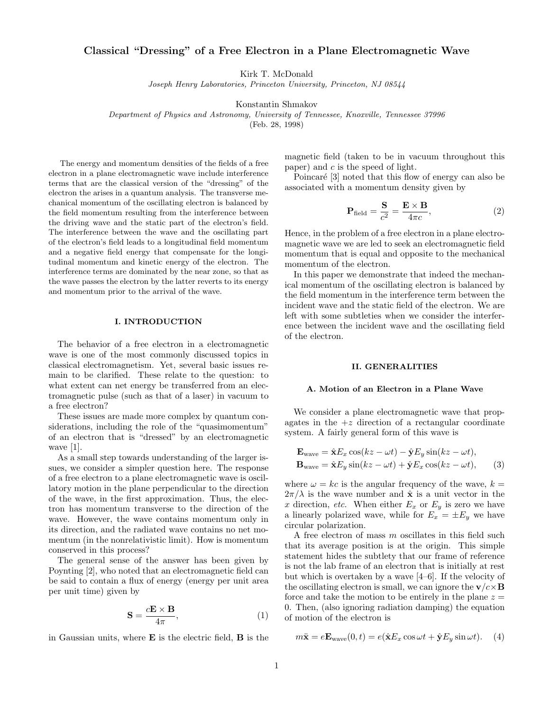# Classical "Dressing" of a Free Electron in a Plane Electromagnetic Wave

Kirk T. McDonald

Joseph Henry Laboratories, Princeton University, Princeton, NJ 08544

Konstantin Shmakov

Department of Physics and Astronomy, University of Tennessee, Knoxville, Tennessee 37996

(Feb. 28, 1998)

The energy and momentum densities of the fields of a free electron in a plane electromagnetic wave include interference terms that are the classical version of the "dressing" of the electron the arises in a quantum analysis. The transverse mechanical momentum of the oscillating electron is balanced by the field momentum resulting from the interference between the driving wave and the static part of the electron's field. The interference between the wave and the oscillating part of the electron's field leads to a longitudinal field momentum and a negative field energy that compensate for the longitudinal momentum and kinetic energy of the electron. The interference terms are dominated by the near zone, so that as the wave passes the electron by the latter reverts to its energy and momentum prior to the arrival of the wave.

## I. INTRODUCTION

The behavior of a free electron in a electromagnetic wave is one of the most commonly discussed topics in classical electromagnetism. Yet, several basic issues remain to be clarified. These relate to the question: to what extent can net energy be transferred from an electromagnetic pulse (such as that of a laser) in vacuum to a free electron?

These issues are made more complex by quantum considerations, including the role of the "quasimomentum" of an electron that is "dressed" by an electromagnetic wave [1].

As a small step towards understanding of the larger issues, we consider a simpler question here. The response of a free electron to a plane electromagnetic wave is oscillatory motion in the plane perpendicular to the direction of the wave, in the first approximation. Thus, the electron has momentum transverse to the direction of the wave. However, the wave contains momentum only in its direction, and the radiated wave contains no net momentum (in the nonrelativistic limit). How is momentum conserved in this process?

The general sense of the answer has been given by Poynting [2], who noted that an electromagnetic field can be said to contain a flux of energy (energy per unit area per unit time) given by

$$
\mathbf{S} = \frac{c\mathbf{E} \times \mathbf{B}}{4\pi},\tag{1}
$$

in Gaussian units, where E is the electric field, B is the

magnetic field (taken to be in vacuum throughout this paper) and  $c$  is the speed of light.

Poincaré [3] noted that this flow of energy can also be associated with a momentum density given by

$$
\mathbf{P}_{\text{field}} = \frac{\mathbf{S}}{c^2} = \frac{\mathbf{E} \times \mathbf{B}}{4\pi c},\tag{2}
$$

Hence, in the problem of a free electron in a plane electromagnetic wave we are led to seek an electromagnetic field momentum that is equal and opposite to the mechanical momentum of the electron.

In this paper we demonstrate that indeed the mechanical momentum of the oscillating electron is balanced by the field momentum in the interference term between the incident wave and the static field of the electron. We are left with some subtleties when we consider the interference between the incident wave and the oscillating field of the electron.

#### II. GENERALITIES

## A. Motion of an Electron in a Plane Wave

We consider a plane electromagnetic wave that propagates in the  $+z$  direction of a rectangular coordinate system. A fairly general form of this wave is

$$
\mathbf{E}_{\text{wave}} = \hat{\mathbf{x}} E_x \cos(kz - \omega t) - \hat{\mathbf{y}} E_y \sin(kz - \omega t),
$$
  
\n
$$
\mathbf{B}_{\text{wave}} = \hat{\mathbf{x}} E_y \sin(kz - \omega t) + \hat{\mathbf{y}} E_x \cos(kz - \omega t),
$$
 (3)

where  $\omega = kc$  is the angular frequency of the wave,  $k =$  $2\pi/\lambda$  is the wave number and  $\hat{\mathbf{x}}$  is a unit vector in the x direction, etc. When either  $E_x$  or  $E_y$  is zero we have a linearly polarized wave, while for  $E_x = \pm E_y$  we have circular polarization.

A free electron of mass m oscillates in this field such that its average position is at the origin. This simple statement hides the subtlety that our frame of reference is not the lab frame of an electron that is initially at rest but which is overtaken by a wave [4–6]. If the velocity of the oscillating electron is small, we can ignore the  $\mathbf{v}/c \times \mathbf{B}$ force and take the motion to be entirely in the plane  $z =$ 0. Then, (also ignoring radiation damping) the equation of motion of the electron is

$$
m\ddot{\mathbf{x}} = e\mathbf{E}_{\text{wave}}(0, t) = e(\hat{\mathbf{x}}E_x \cos \omega t + \hat{\mathbf{y}}E_y \sin \omega t). \quad (4)
$$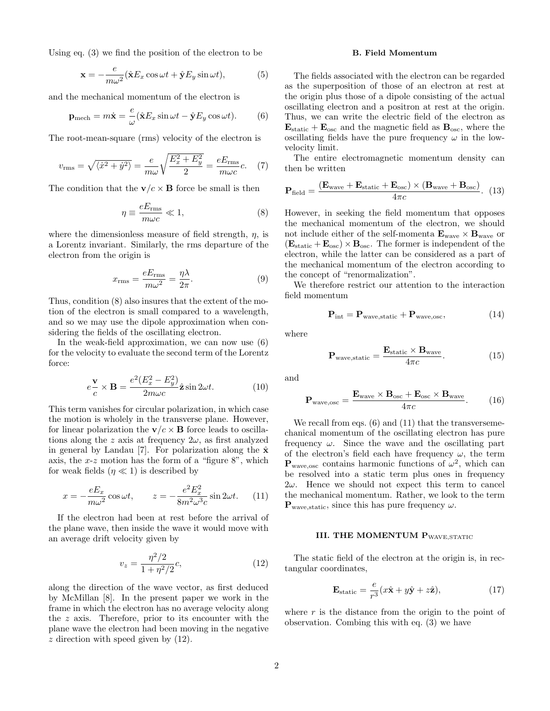Using eq. (3) we find the position of the electron to be

$$
\mathbf{x} = -\frac{e}{m\omega^2} (\hat{\mathbf{x}} E_x \cos \omega t + \hat{\mathbf{y}} E_y \sin \omega t), \tag{5}
$$

and the mechanical momentum of the electron is

$$
\mathbf{p}_{\text{mech}} = m\dot{\mathbf{x}} = \frac{e}{\omega} (\hat{\mathbf{x}} E_x \sin \omega t - \hat{\mathbf{y}} E_y \cos \omega t). \tag{6}
$$

The root-mean-square (rms) velocity of the electron is

$$
v_{\rm rms} = \sqrt{\langle \dot{x}^2 + \dot{y}^2 \rangle} = \frac{e}{m\omega} \sqrt{\frac{E_x^2 + E_y^2}{2}} = \frac{eE_{\rm rms}}{m\omega c}c. \quad (7)
$$

The condition that the  $\mathbf{v}/c \times \mathbf{B}$  force be small is then

$$
\eta \equiv \frac{eE_{\rm rms}}{m\omega c} \ll 1,\tag{8}
$$

where the dimensionless measure of field strength,  $\eta$ , is a Lorentz invariant. Similarly, the rms departure of the electron from the origin is

$$
x_{\rm rms} = \frac{eE_{\rm rms}}{m\omega^2} = \frac{\eta\lambda}{2\pi}.
$$
 (9)

Thus, condition (8) also insures that the extent of the motion of the electron is small compared to a wavelength, and so we may use the dipole approximation when considering the fields of the oscillating electron.

In the weak-field approximation, we can now use (6) for the velocity to evaluate the second term of the Lorentz force:

$$
e\frac{\mathbf{v}}{c} \times \mathbf{B} = \frac{e^2 (E_x^2 - E_y^2)}{2m\omega c} \hat{\mathbf{z}} \sin 2\omega t.
$$
 (10)

This term vanishes for circular polarization, in which case the motion is wholely in the transverse plane. However, for linear polarization the  $\mathbf{v}/c \times \mathbf{B}$  force leads to oscillations along the z axis at frequency  $2\omega$ , as first analyzed in general by Landau [7]. For polarization along the  $\hat{\mathbf{x}}$ axis, the  $x-z$  motion has the form of a "figure 8", which for weak fields  $(\eta \ll 1)$  is described by

$$
x = -\frac{eE_x}{m\omega^2} \cos \omega t, \qquad z = -\frac{e^2 E_x^2}{8m^2 \omega^3 c} \sin 2\omega t. \tag{11}
$$

If the electron had been at rest before the arrival of the plane wave, then inside the wave it would move with an average drift velocity given by

$$
v_z = \frac{\eta^2/2}{1 + \eta^2/2}c,\tag{12}
$$

along the direction of the wave vector, as first deduced by McMillan [8]. In the present paper we work in the frame in which the electron has no average velocity along the z axis. Therefore, prior to its encounter with the plane wave the electron had been moving in the negative  $z$  direction with speed given by  $(12)$ .

### B. Field Momentum

The fields associated with the electron can be regarded as the superposition of those of an electron at rest at the origin plus those of a dipole consisting of the actual oscillating electron and a positron at rest at the origin. Thus, we can write the electric field of the electron as  $\mathbf{E}_{\text{static}} + \mathbf{E}_{\text{osc}}$  and the magnetic field as  $\mathbf{B}_{\text{osc}}$ , where the oscillating fields have the pure frequency  $\omega$  in the lowvelocity limit.

The entire electromagnetic momentum density can then be written

$$
\mathbf{P}_{\text{field}} = \frac{(\mathbf{E}_{\text{wave}} + \mathbf{E}_{\text{static}} + \mathbf{E}_{\text{osc}}) \times (\mathbf{B}_{\text{wave}} + \mathbf{B}_{\text{osc}})}{4\pi c}.
$$
 (13)

However, in seeking the field momentum that opposes the mechanical momentum of the electron, we should not include either of the self-momenta  $\mathbf{E}_{wave} \times \mathbf{B}_{wave}$  or  $(\mathbf{E}_{static} + \mathbf{E}_{osc}) \times \mathbf{B}_{osc}$ . The former is independent of the electron, while the latter can be considered as a part of the mechanical momentum of the electron according to the concept of "renormalization".

We therefore restrict our attention to the interaction field momentum

$$
\mathbf{P}_{\text{int}} = \mathbf{P}_{\text{wave}, \text{static}} + \mathbf{P}_{\text{wave}, \text{osc}},\tag{14}
$$

where

 $\mathbf{P}_{\text{wave}, \text{static}} = \frac{\mathbf{E}_{\text{static}} \times \mathbf{B}_{\text{wave}}}{4 \pi \epsilon}$  $4\pi c$  $(15)$ 

and

$$
\mathbf{P}_{\text{wave,osc}} = \frac{\mathbf{E}_{\text{wave}} \times \mathbf{B}_{\text{osc}} + \mathbf{E}_{\text{osc}} \times \mathbf{B}_{\text{wave}}}{4\pi c}.
$$
 (16)

We recall from eqs.  $(6)$  and  $(11)$  that the transversemechanical momentum of the oscillating electron has pure frequency  $\omega$ . Since the wave and the oscillating part of the electron's field each have frequency  $\omega$ , the term  $\mathbf{P}_{\text{wave,osc}}$  contains harmonic functions of  $\omega^2$ , which can be resolved into a static term plus ones in frequency  $2\omega$ . Hence we should not expect this term to cancel the mechanical momentum. Rather, we look to the term  ${\bf P}_{wave, static}$ , since this has pure frequency  $\omega$ .

# III. THE MOMENTUM PWAVE, STATIC

The static field of the electron at the origin is, in rectangular coordinates,

$$
\mathbf{E}_{\text{static}} = \frac{e}{r^3} (x\hat{\mathbf{x}} + y\hat{\mathbf{y}} + z\hat{\mathbf{z}}), \tag{17}
$$

where  $r$  is the distance from the origin to the point of observation. Combing this with eq. (3) we have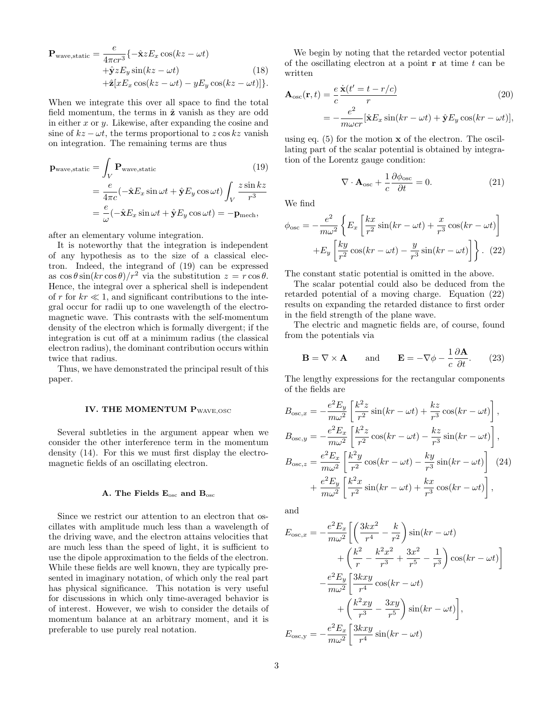$$
\mathbf{P}_{\text{wave,static}} = \frac{e}{4\pi c r^3} \{-\hat{\mathbf{x}} z E_x \cos(kz - \omega t) + \hat{\mathbf{y}} z E_y \sin(kz - \omega t) + \hat{\mathbf{z}} [x E_x \cos(kz - \omega t) - y E_y \cos(kz - \omega t)]\}.
$$
\n(18)

When we integrate this over all space to find the total field momentum, the terms in  $\hat{z}$  vanish as they are odd in either  $x$  or  $y$ . Likewise, after expanding the cosine and sine of  $kz - \omega t$ , the terms proportional to  $z \cos kz$  vanish on integration. The remaining terms are thus

$$
\mathbf{p}_{\text{wave,static}} = \int_{V} \mathbf{P}_{\text{wave,static}} \qquad (19)
$$

$$
= \frac{e}{4\pi c} (-\hat{\mathbf{x}} E_x \sin \omega t + \hat{\mathbf{y}} E_y \cos \omega t) \int_{V} \frac{z \sin kz}{r^3}
$$

$$
= \frac{e}{\omega} (-\hat{\mathbf{x}} E_x \sin \omega t + \hat{\mathbf{y}} E_y \cos \omega t) = -\mathbf{p}_{\text{mech}},
$$

after an elementary volume integration.

It is noteworthy that the integration is independent of any hypothesis as to the size of a classical electron. Indeed, the integrand of (19) can be expressed as  $\cos \theta \sin(kr \cos \theta)/r^2$  via the substitution  $z = r \cos \theta$ . Hence, the integral over a spherical shell is independent of r for  $kr \ll 1$ , and significant contributions to the integral occur for radii up to one wavelength of the electromagnetic wave. This contrasts with the self-momentum density of the electron which is formally divergent; if the integration is cut off at a minimum radius (the classical electron radius), the dominant contribution occurs within twice that radius.

Thus, we have demonstrated the principal result of this paper.

#### IV. THE MOMENTUM PWAVE, OSC

Several subtleties in the argument appear when we consider the other interference term in the momentum density (14). For this we must first display the electromagnetic fields of an oscillating electron.

## A. The Fields Eosc and Bosc

Since we restrict our attention to an electron that oscillates with amplitude much less than a wavelength of the driving wave, and the electron attains velocities that are much less than the speed of light, it is sufficient to use the dipole approximation to the fields of the electron. While these fields are well known, they are typically presented in imaginary notation, of which only the real part has physical significance. This notation is very useful for discussions in which only time-averaged behavior is of interest. However, we wish to consider the details of momentum balance at an arbitrary moment, and it is preferable to use purely real notation.

We begin by noting that the retarded vector potential of the oscillating electron at a point  $\mathbf r$  at time  $t$  can be written

$$
\mathbf{A}_{\text{osc}}(\mathbf{r},t) = \frac{e}{c} \frac{\dot{\mathbf{x}}(t'-t-r/c)}{r} \tag{20}
$$
\n
$$
= -\frac{e^2}{m\omega c r} [\hat{\mathbf{x}} E_x \sin(kr - \omega t) + \hat{\mathbf{y}} E_y \cos(kr - \omega t)],
$$

using eq.  $(5)$  for the motion  $x$  of the electron. The oscillating part of the scalar potential is obtained by integration of the Lorentz gauge condition:

$$
\nabla \cdot \mathbf{A}_{\rm osc} + \frac{1}{c} \frac{\partial \phi_{\rm osc}}{\partial t} = 0.
$$
 (21)

We find

$$
\phi_{\text{osc}} = -\frac{e^2}{m\omega^2} \left\{ E_x \left[ \frac{kx}{r^2} \sin(kr - \omega t) + \frac{x}{r^3} \cos(kr - \omega t) \right] + E_y \left[ \frac{ky}{r^2} \cos(kr - \omega t) - \frac{y}{r^3} \sin(kr - \omega t) \right] \right\}.
$$
 (22)

The constant static potential is omitted in the above.

The scalar potential could also be deduced from the retarded potential of a moving charge. Equation (22) results on expanding the retarded distance to first order in the field strength of the plane wave.

The electric and magnetic fields are, of course, found from the potentials via

$$
\mathbf{B} = \nabla \times \mathbf{A} \quad \text{and} \quad \mathbf{E} = -\nabla \phi - \frac{1}{c} \frac{\partial \mathbf{A}}{\partial t}.
$$
 (23)

The lengthy expressions for the rectangular components of the fields are

$$
B_{\text{osc},x} = -\frac{e^2 E_y}{m\omega^2} \left[ \frac{k^2 z}{r^2} \sin(kr - \omega t) + \frac{kz}{r^3} \cos(kr - \omega t) \right],
$$
  
\n
$$
B_{\text{osc},y} = -\frac{e^2 E_x}{m\omega^2} \left[ \frac{k^2 z}{r^2} \cos(kr - \omega t) - \frac{kz}{r^3} \sin(kr - \omega t) \right],
$$
  
\n
$$
B_{\text{osc},z} = \frac{e^2 E_x}{m\omega^2} \left[ \frac{k^2 y}{r^2} \cos(kr - \omega t) - \frac{ky}{r^3} \sin(kr - \omega t) \right] (24)
$$
  
\n
$$
+ \frac{e^2 E_y}{m\omega^2} \left[ \frac{k^2 x}{r^2} \sin(kr - \omega t) + \frac{kx}{r^3} \cos(kr - \omega t) \right],
$$

and

$$
E_{\text{osc},x} = -\frac{e^2 E_x}{m\omega^2} \left[ \left( \frac{3kx^2}{r^4} - \frac{k}{r^2} \right) \sin(kr - \omega t) + \left( \frac{k^2}{r} - \frac{k^2 x^2}{r^3} + \frac{3x^2}{r^5} - \frac{1}{r^3} \right) \cos(kr - \omega t) \right]
$$

$$
- \frac{e^2 E_y}{m\omega^2} \left[ \frac{3kxy}{r^4} \cos(kr - \omega t) + \left( \frac{k^2 xy}{r^3} - \frac{3xy}{r^5} \right) \sin(kr - \omega t) \right],
$$

$$
E_{\text{osc},y} = -\frac{e^2 E_x}{m\omega^2} \left[ \frac{3kxy}{r^4} \sin(kr - \omega t) \right]
$$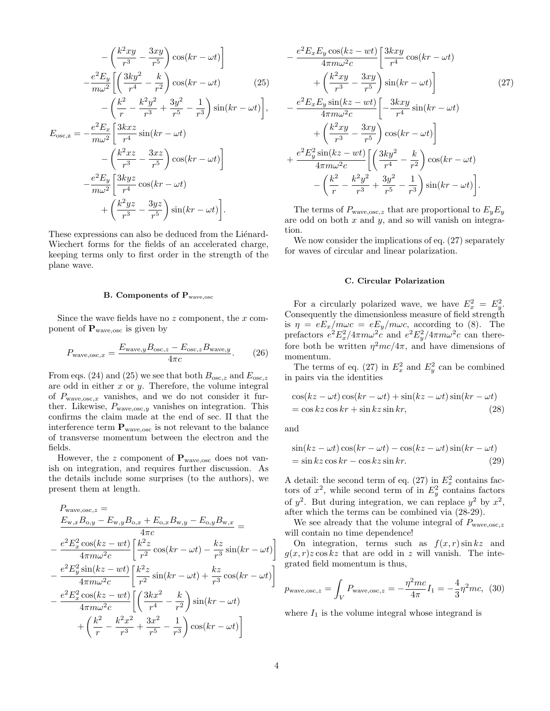$$
-\left(\frac{k^2xy}{r^3} - \frac{3xy}{r^5}\right)\cos(kr - \omega t)\Big]
$$

$$
-\frac{e^2E_y}{m\omega^2}\left[\left(\frac{3ky^2}{r^4} - \frac{k}{r^2}\right)\cos(kr - \omega t)\right]
$$
(25)
$$
-\left(\frac{k^2}{r} - \frac{k^2y^2}{r^3} + \frac{3y^2}{r^5} - \frac{1}{r^3}\right)\sin(kr - \omega t)\Big],
$$

$$
E_{\text{osc},z} = -\frac{e^2E_x}{m\omega^2}\left[\frac{3kxz}{r^4}\sin(kr - \omega t)\right]
$$

$$
-\left(\frac{k^2xz}{r^3} - \frac{3xz}{r^5}\right)\cos(kr - \omega t)\Big]
$$

$$
-\frac{e^2E_y}{m\omega^2}\left[\frac{3kyz}{r^4}\cos(kr - \omega t)\right]
$$

 $^{+}$  $\int k^2yz$  $\frac{2yz}{r^3} - \frac{3yz}{r^5}$  $r<sub>5</sub>$  $\mathbf{r}$  $\sin(kr - \omega t)$  $\overline{a}$ . These expressions can also be deduced from the Liénard-

Wiechert forms for the fields of an accelerated charge, keeping terms only to first order in the strength of the plane wave.

### B. Components of Pwave,osc

Since the wave fields have no  $z$  component, the  $x$  component of  $\mathbf{P}_{wave,osc}$  is given by

$$
P_{\text{wave,osc},x} = \frac{E_{\text{wave},y} B_{\text{osc},z} - E_{\text{osc},z} B_{\text{wave},y}}{4\pi c}.
$$
 (26)

From eqs. (24) and (25) we see that both  $B_{\rm osc,z}$  and  $E_{\rm osc,z}$ are odd in either  $x$  or  $y$ . Therefore, the volume integral of  $P_{\text{wave,osc},x}$  vanishes, and we do not consider it further. Likewise,  $P_{\text{wave,osc},y}$  vanishes on integration. This confirms the claim made at the end of sec. II that the interference term  $\mathbf{P}_{wave,osc}$  is not relevant to the balance of transverse momentum between the electron and the fields.

However, the z component of  $P_{wave,osc}$  does not vanish on integration, and requires further discussion. As the details include some surprises (to the authors), we present them at length.

$$
P_{\text{wave,osc}} =
$$
\n
$$
\frac{E_{\text{w},x}B_{\text{o},y} - E_{\text{w},y}B_{\text{o},x} + E_{\text{o},x}B_{\text{w},y} - E_{\text{o},y}B_{\text{w},x}}{4\pi c} =
$$
\n
$$
-\frac{e^2 E_x^2 \cos(kz - wt)}{4\pi m \omega^2 c} \left[ \frac{k^2 z}{r^2} \cos(kr - \omega t) - \frac{kz}{r^3} \sin(kr - \omega t) \right]
$$
\n
$$
-\frac{e^2 E_y^2 \sin(kz - wt)}{4\pi m \omega^2 c} \left[ \frac{k^2 z}{r^2} \sin(kr - \omega t) + \frac{kz}{r^3} \cos(kr - \omega t) \right]
$$
\n
$$
-\frac{e^2 E_x^2 \cos(kz - wt)}{4\pi m \omega^2 c} \left[ \left( \frac{3kx^2}{r^4} - \frac{k}{r^2} \right) \sin(kr - \omega t) + \left( \frac{k^2}{r} - \frac{k^2 x^2}{r^3} + \frac{3x^2}{r^5} - \frac{1}{r^3} \right) \cos(kr - \omega t) \right]
$$

$$
-\frac{e^2 E_x E_y \cos(kz - wt)}{4\pi m\omega^2 c} \left[ \frac{3kxy}{r^4} \cos(kr - \omega t) + \left( \frac{k^2 xy}{r^3} - \frac{3xy}{r^5} \right) \sin(kr - \omega t) \right]
$$
(27)  

$$
-\frac{e^2 E_x E_y \sin(kz - wt)}{4\pi m\omega^2 c} \left[ -\frac{3kxy}{r^4} \sin(kr - \omega t) + \left( \frac{k^2 xy}{r^3} - \frac{3xy}{r^5} \right) \cos(kr - \omega t) \right]
$$

$$
+\frac{e^2 E_y^2 \sin(kz - wt)}{4\pi m\omega^2 c} \left[ \left( \frac{3ky^2}{r^4} - \frac{k}{r^2} \right) \cos(kr - \omega t) - \left( \frac{k^2}{r} - \frac{k^2y^2}{r^3} + \frac{3y^2}{r^5} - \frac{1}{r^3} \right) \sin(kr - \omega t) \right].
$$

The terms of  $P_{\text{wave,osc},z}$  that are proportional to  $E_yE_y$ are odd on both  $x$  and  $y$ , and so will vanish on integration.

We now consider the implications of eq. (27) separately for waves of circular and linear polarization.

#### C. Circular Polarization

For a circularly polarized wave, we have  $E_x^2 = E_y^2$ . Consequently the dimensionless measure of field strength is  $\eta = eE_x/m\omega c = eE_y/m\omega c$ , according to (8). The prefactors  $e^2 E_x^2 / 4\pi m \omega^2 c$  and  $e^2 E_y^2 / 4\pi m \omega^2 c$  can therefore both be written  $\eta^2mc/4\pi$ , and have dimensions of momentum.

The terms of eq. (27) in  $E_x^2$  and  $E_y^2$  can be combined in pairs via the identities

$$
\cos(kz - \omega t)\cos(kr - \omega t) + \sin(kz - \omega t)\sin(kr - \omega t)
$$
  
= cos kz cos kr + sin kz sin kr, (28)

and

$$
\sin(kz - \omega t)\cos(kr - \omega t) - \cos(kz - \omega t)\sin(kr - \omega t)
$$
  
= sin kz cos kr - cos kz sin kr. (29)

A detail: the second term of eq. (27) in  $E_x^2$  contains factors of  $x^2$ , while second term of in  $E_y^2$  contains factors of  $y^2$ . But during integration, we can replace  $y^2$  by  $x^2$ , after which the terms can be combined via (28-29).

We see already that the volume integral of  $P_{\text{wave,osc},z}$ will contain no time dependence!

On integration, terms such as  $f(x, r) \sin kz$  and  $g(x, r)z \cos kz$  that are odd in z will vanish. The integrated field momentum is thus,

$$
p_{\text{wave,osc},z} = \int_{V} P_{\text{wave,osc},z} = -\frac{\eta^2 mc}{4\pi} I_1 = -\frac{4}{3} \eta^2 mc, \tag{30}
$$

where  $I_1$  is the volume integral whose integrand is

 $\overline{a}$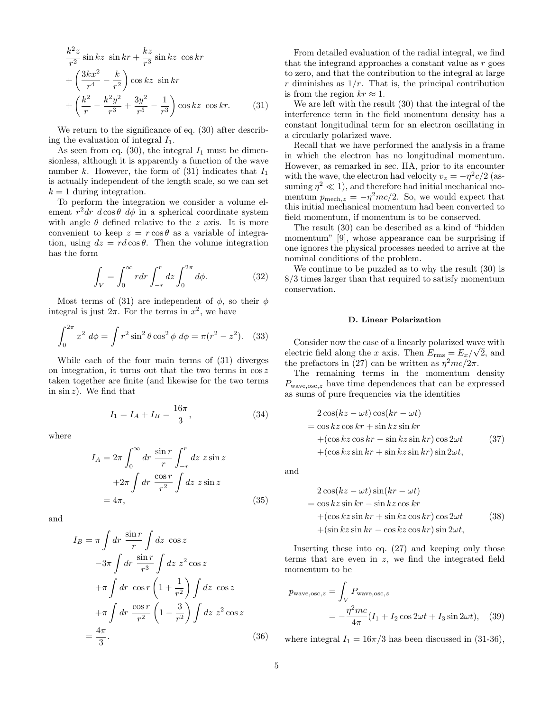$$
\frac{k^2 z}{r^2} \sin kz \sin kr + \frac{kz}{r^3} \sin kz \cos kr \n+ \left(\frac{3kx^2}{r^4} - \frac{k}{r^2}\right) \cos kz \sin kr \n+ \left(\frac{k^2}{r} - \frac{k^2y^2}{r^3} + \frac{3y^2}{r^5} - \frac{1}{r^3}\right) \cos kz \cos kr.
$$
\n(31)

We return to the significance of eq.  $(30)$  after describing the evaluation of integral  $I_1$ .

As seen from eq. (30), the integral  $I_1$  must be dimensionless, although it is apparently a function of the wave number k. However, the form of  $(31)$  indicates that  $I_1$ is actually independent of the length scale, so we can set  $k = 1$  during integration.

To perform the integration we consider a volume element  $r^2dr$  d cos  $\theta$  d $\phi$  in a spherical coordinate system with angle  $\theta$  defined relative to the z axis. It is more convenient to keep  $z = r \cos \theta$  as a variable of integration, using  $dz = rd \cos \theta$ . Then the volume integration has the form

$$
\int_{V} = \int_{0}^{\infty} r dr \int_{-r}^{r} dz \int_{0}^{2\pi} d\phi.
$$
 (32)

Most terms of (31) are independent of  $\phi$ , so their  $\phi$ integral is just  $2\pi$ . For the terms in  $x^2$ , we have

$$
\int_0^{2\pi} x^2 \, d\phi = \int r^2 \sin^2 \theta \cos^2 \phi \, d\phi = \pi (r^2 - z^2). \tag{33}
$$

While each of the four main terms of (31) diverges on integration, it turns out that the two terms in  $\cos z$ taken together are finite (and likewise for the two terms in  $\sin z$ ). We find that

$$
I_1 = I_A + I_B = \frac{16\pi}{3},\tag{34}
$$

where

$$
I_A = 2\pi \int_0^\infty dr \frac{\sin r}{r} \int_{-r}^r dz \ z \sin z
$$
  
+2\pi  $\int dr \frac{\cos r}{r^2} \int dz \ z \sin z$   
= 4\pi, (35)

and

$$
I_B = \pi \int dr \frac{\sin r}{r} \int dz \cos z
$$
  

$$
-3\pi \int dr \frac{\sin r}{r^3} \int dz z^2 \cos z
$$
  

$$
+ \pi \int dr \cos r \left(1 + \frac{1}{r^2}\right) \int dz \cos z
$$
  

$$
+ \pi \int dr \frac{\cos r}{r^2} \left(1 - \frac{3}{r^2}\right) \int dz z^2 \cos z
$$
  

$$
= \frac{4\pi}{3}.
$$
 (36)

From detailed evaluation of the radial integral, we find that the integrand approaches a constant value as  $r$  goes to zero, and that the contribution to the integral at large  $r$  diminishes as  $1/r$ . That is, the principal contribution is from the region  $kr \approx 1$ .

We are left with the result (30) that the integral of the interference term in the field momentum density has a constant longitudinal term for an electron oscillating in a circularly polarized wave.

Recall that we have performed the analysis in a frame in which the electron has no longitudinal momentum. However, as remarked in sec. IIA, prior to its encounter with the wave, the electron had velocity  $v_z = -\eta^2 c/2$  (assuming  $\eta^2 \ll 1$ , and therefore had initial mechanical momentum  $p_{\text{mech},z} = -\eta^2 mc/2$ . So, we would expect that this initial mechanical momentum had been converted to field momentum, if momentum is to be conserved.

The result (30) can be described as a kind of "hidden momentum" [9], whose appearance can be surprising if one ignores the physical processes needed to arrive at the nominal conditions of the problem.

We continue to be puzzled as to why the result (30) is 8/3 times larger than that required to satisfy momentum conservation.

## D. Linear Polarization

Consider now the case of a linearly polarized wave with electric field along the x axis. Then  $E_{\rm rms} = E_x / \sqrt{2}$ , and the prefactors in (27) can be written as  $\eta^2 mc/2\pi$ .

The remaining terms in the momentum density  $P_{\text{wave,osc},z}$  have time dependences that can be expressed as sums of pure frequencies via the identities

$$
2\cos(kz - \omega t)\cos(kr - \omega t)
$$
  
=  $\cos kz \cos kr + \sin kz \sin kr$   
+ $(\cos kz \cos kr - \sin kz \sin kr) \cos 2\omega t$  (37)  
+ $(\cos kz \sin kr + \sin kz \sin kr) \sin 2\omega t$ ,

and

$$
2\cos(kz - \omega t)\sin(kr - \omega t)
$$
  
= cos kz sin kr - sin kz cos kr  
+ (cos kz sin kr + sin kz cos kr) cos 2 $\omega t$  (38)  
+ (sin kz sin kr - cos kz cos kr) sin 2 $\omega t$ ,

Inserting these into eq. (27) and keeping only those terms that are even in z, we find the integrated field momentum to be

$$
p_{\text{wave,osc},z} = \int_{V} P_{\text{wave,osc},z}
$$
  
= 
$$
-\frac{\eta^2 mc}{4\pi} (I_1 + I_2 \cos 2\omega t + I_3 \sin 2\omega t), \quad (39)
$$

where integral  $I_1 = 16\pi/3$  has been discussed in (31-36),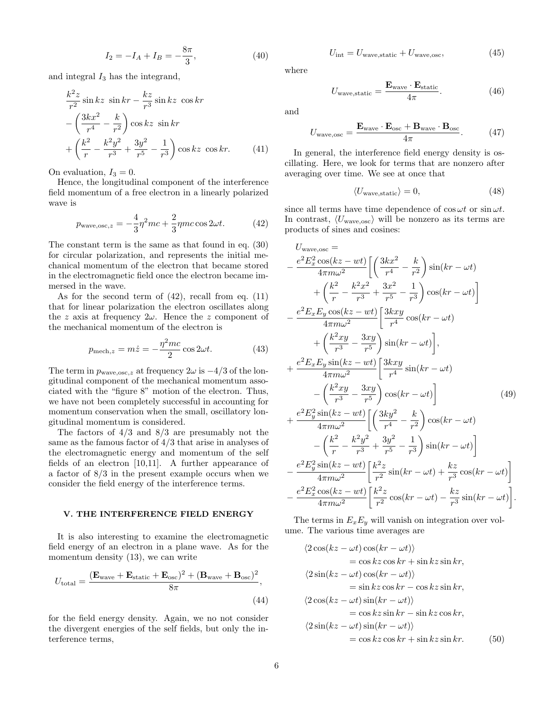$$
I_2 = -I_A + I_B = -\frac{8\pi}{3},\tag{40}
$$

and integral  $I_3$  has the integrand,

$$
\frac{k^2 z}{r^2} \sin kz \sin kr - \frac{kz}{r^3} \sin kz \cos kr \n- \left(\frac{3kx^2}{r^4} - \frac{k}{r^2}\right) \cos kz \sin kr \n+ \left(\frac{k^2}{r} - \frac{k^2y^2}{r^3} + \frac{3y^2}{r^5} - \frac{1}{r^3}\right) \cos kz \cos kr.
$$
\n(41)

On evaluation,  $I_3 = 0$ .

Hence, the longitudinal component of the interference field momentum of a free electron in a linearly polarized wave is

$$
p_{\text{wave,osc},z} = -\frac{4}{3}\eta^2 mc + \frac{2}{3}\eta mc \cos 2\omega t. \tag{42}
$$

The constant term is the same as that found in eq. (30) for circular polarization, and represents the initial mechanical momentum of the electron that became stored in the electromagnetic field once the electron became immersed in the wave.

As for the second term of  $(42)$ , recall from eq.  $(11)$ that for linear polarization the electron oscillates along the z axis at frequency  $2\omega$ . Hence the z component of the mechanical momentum of the electron is

$$
p_{\text{mech},z} = m\dot{z} = -\frac{\eta^2 mc}{2} \cos 2\omega t. \tag{43}
$$

The term in  $p_{\text{wave,osc},z}$  at frequency  $2\omega$  is  $-4/3$  of the longitudinal component of the mechanical momentum associated with the "figure 8" motion of the electron. Thus, we have not been completely successful in accounting for momentum conservation when the small, oscillatory longitudinal momentum is considered.

The factors of  $4/3$  and  $8/3$  are presumably not the same as the famous factor of 4/3 that arise in analyses of the electromagnetic energy and momentum of the self fields of an electron [10,11]. A further appearance of a factor of 8/3 in the present example occurs when we consider the field energy of the interference terms.

# V. THE INTERFERENCE FIELD ENERGY

It is also interesting to examine the electromagnetic field energy of an electron in a plane wave. As for the momentum density (13), we can write

$$
U_{\text{total}} = \frac{(\mathbf{E}_{\text{wave}} + \mathbf{E}_{\text{static}} + \mathbf{E}_{\text{osc}})^2 + (\mathbf{B}_{\text{wave}} + \mathbf{B}_{\text{osc}})^2}{8\pi},\tag{44}
$$

for the field energy density. Again, we no not consider the divergent energies of the self fields, but only the interference terms,

$$
U_{\text{int}} = U_{\text{wave,static}} + U_{\text{wave,osc}}, \tag{45}
$$

where

$$
U_{\text{wave,static}} = \frac{\mathbf{E}_{\text{wave}} \cdot \mathbf{E}_{\text{static}}}{4\pi}.
$$
 (46)

and

$$
U_{\text{wave,osc}} = \frac{\mathbf{E}_{\text{wave}} \cdot \mathbf{E}_{\text{osc}} + \mathbf{B}_{\text{wave}} \cdot \mathbf{B}_{\text{osc}}}{4\pi}.
$$
 (47)

In general, the interference field energy density is oscillating. Here, we look for terms that are nonzero after averaging over time. We see at once that

$$
\langle U_{\text{wave,static}} \rangle = 0,\tag{48}
$$

since all terms have time dependence of  $\cos \omega t$  or  $\sin \omega t$ . In contrast,  $\langle U_{\text{wave,osc}} \rangle$  will be nonzero as its terms are products of sines and cosines:

$$
U_{\text{wave,osc}} =
$$
\n
$$
- \frac{e^2 E_x^2 \cos(kz - wt)}{4\pi m\omega^2} \left[ \left( \frac{3kx^2}{r^4} - \frac{k}{r^2} \right) \sin(kr - \omega t) + \left( \frac{k^2}{r} - \frac{k^2x^2}{r^3} + \frac{3x^2}{r^5} - \frac{1}{r^3} \right) \cos(kr - \omega t) \right]
$$
\n
$$
- \frac{e^2 E_x E_y \cos(kz - wt)}{4\pi m\omega^2} \left[ \frac{3kxy}{r^4} \cos(kr - \omega t) + \left( \frac{k^2xy}{r^3} - \frac{3xy}{r^5} \right) \sin(kr - \omega t) \right],
$$
\n
$$
+ \frac{e^2 E_x E_y \sin(kz - wt)}{4\pi m\omega^2} \left[ \frac{3kxy}{r^4} \sin(kr - \omega t) - \left( \frac{k^2xy}{r^3} - \frac{3xy}{r^5} \right) \cos(kr - \omega t) \right]
$$
\n
$$
+ \frac{e^2 E_y^2 \sin(kz - wt)}{4\pi m\omega^2} \left[ \left( \frac{3ky^2}{r^4} - \frac{k}{r^2} \right) \cos(kr - \omega t) - \left( \frac{k^2}{r} - \frac{k^2y^2}{r^3} + \frac{3y^2}{r^5} - \frac{1}{r^3} \right) \sin(kr - \omega t) \right]
$$
\n
$$
- \frac{e^2 E_y^2 \sin(kz - wt)}{4\pi m\omega^2} \left[ \frac{k^2z}{r^2} \sin(kr - \omega t) + \frac{kz}{r^3} \cos(kr - \omega t) \right]
$$
\n
$$
- \frac{e^2 E_x^2 \cos(kz - wt)}{4\pi m\omega^2} \left[ \frac{k^2z}{r^2} \cos(kr - \omega t) - \frac{kz}{r^3} \sin(kr - \omega t) \right].
$$

The terms in  $E_x E_y$  will vanish on integration over volume. The various time averages are

 $\frac{\pi^2}{r^3}\sin(kr-\omega t)$ 

.

 $4\pi m\omega^2$ 

$$
\langle 2\cos(kz - \omega t)\cos(kr - \omega t)\rangle
$$
  
=  $\cos kz \cos kr + \sin kz \sin kr$ ,  

$$
\langle 2\sin(kz - \omega t)\cos(kr - \omega t)\rangle
$$
  
=  $\sin kz \cos kr - \cos kz \sin kr$ ,  

$$
\langle 2\cos(kz - \omega t)\sin(kr - \omega t)\rangle
$$
  
=  $\cos kz \sin kr - \sin kz \cos kr$ ,  

$$
\langle 2\sin(kz - \omega t)\sin(kr - \omega t)\rangle
$$
  
=  $\cos kz \cos kr + \sin kz \sin kr$ . (50)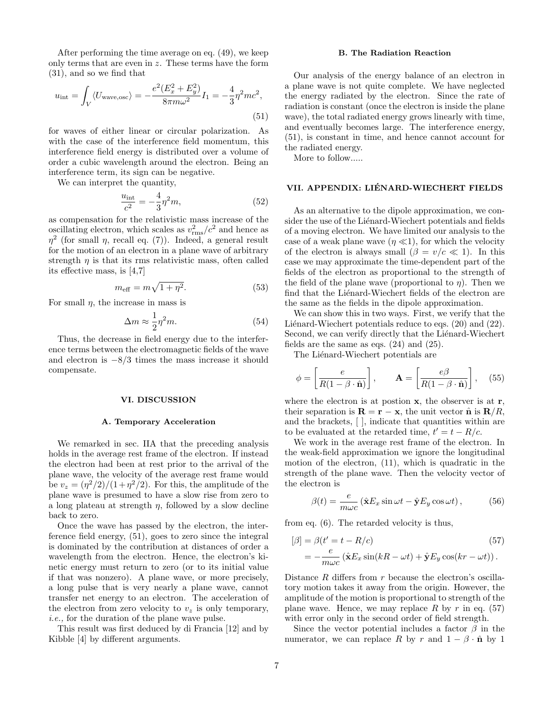After performing the time average on eq. (49), we keep only terms that are even in  $z$ . These terms have the form (31), and so we find that

$$
u_{\rm int} = \int_{V} \langle U_{\rm wave, osc} \rangle = -\frac{e^2 (E_x^2 + E_y^2)}{8\pi m \omega^2} I_1 = -\frac{4}{3} \eta^2 mc^2,
$$
\n(51)

for waves of either linear or circular polarization. As with the case of the interference field momentum, this interference field energy is distributed over a volume of order a cubic wavelength around the electron. Being an interference term, its sign can be negative.

We can interpret the quantity,

$$
\frac{u_{\text{int}}}{c^2} = -\frac{4}{3}\eta^2 m,\tag{52}
$$

as compensation for the relativistic mass increase of the oscillating electron, which scales as  $v_{\rm rms}^2/c^2$  and hence as  $\eta^2$  (for small  $\eta$ , recall eq. (7)). Indeed, a general result for the motion of an electron in a plane wave of arbitrary strength  $\eta$  is that its rms relativistic mass, often called its effective mass, is [4,7]

$$
m_{\text{eff}} = m\sqrt{1 + \eta^2}.\tag{53}
$$

For small  $\eta$ , the increase in mass is

$$
\Delta m \approx \frac{1}{2} \eta^2 m. \tag{54}
$$

Thus, the decrease in field energy due to the interference terms between the electromagnetic fields of the wave and electron is  $-8/3$  times the mass increase it should compensate.

## VI. DISCUSSION

#### A. Temporary Acceleration

We remarked in sec. IIA that the preceding analysis holds in the average rest frame of the electron. If instead the electron had been at rest prior to the arrival of the plane wave, the velocity of the average rest frame would be  $v_z = (\eta^2/2)/(1+\eta^2/2)$ . For this, the amplitude of the plane wave is presumed to have a slow rise from zero to a long plateau at strength  $\eta$ , followed by a slow decline back to zero.

Once the wave has passed by the electron, the interference field energy, (51), goes to zero since the integral is dominated by the contribution at distances of order a wavelength from the electron. Hence, the electron's kinetic energy must return to zero (or to its initial value if that was nonzero). A plane wave, or more precisely, a long pulse that is very nearly a plane wave, cannot transfer net energy to an electron. The acceleration of the electron from zero velocity to  $v_z$  is only temporary, i.e., for the duration of the plane wave pulse.

This result was first deduced by di Francia [12] and by Kibble [4] by different arguments.

## B. The Radiation Reaction

Our analysis of the energy balance of an electron in a plane wave is not quite complete. We have neglected the energy radiated by the electron. Since the rate of radiation is constant (once the electron is inside the plane wave), the total radiated energy grows linearly with time, and eventually becomes large. The interference energy, (51), is constant in time, and hence cannot account for the radiated energy.

More to follow.....

## VII. APPENDIX: LIÉNARD-WIECHERT FIELDS

As an alternative to the dipole approximation, we consider the use of the Liénard-Wiechert potentials and fields of a moving electron. We have limited our analysis to the case of a weak plane wave  $(\eta \ll 1)$ , for which the velocity of the electron is always small  $(\beta = v/c \ll 1)$ . In this case we may approximate the time-dependent part of the fields of the electron as proportional to the strength of the field of the plane wave (proportional to  $\eta$ ). Then we find that the Liénard-Wiechert fields of the electron are the same as the fields in the dipole approximation.

We can show this in two ways. First, we verify that the Liénard-Wiechert potentials reduce to eqs.  $(20)$  and  $(22)$ . Second, we can verify directly that the Liénard-Wiechert fields are the same as eqs.  $(24)$  and  $(25)$ .

The Liénard-Wiechert potentials are

$$
\phi = \left[\frac{e}{R(1-\beta \cdot \hat{\mathbf{n}})}\right], \qquad \mathbf{A} = \left[\frac{e\beta}{R(1-\beta \cdot \hat{\mathbf{n}})}\right], \quad (55)
$$

where the electron is at postion  $x$ , the observer is at  $r$ , their separation is  $\mathbf{R} = \mathbf{r} - \mathbf{x}$ , the unit vector  $\hat{\mathbf{n}}$  is  $\mathbf{R}/R$ , and the brackets, [ ], indicate that quantities within are to be evaluated at the retarded time,  $t' = t - R/c$ .

We work in the average rest frame of the electron. In the weak-field approximation we ignore the longitudinal motion of the electron, (11), which is quadratic in the strength of the plane wave. Then the velocity vector of the electron is

$$
\beta(t) = \frac{e}{m\omega c} \left( \hat{\mathbf{x}} E_x \sin \omega t - \hat{\mathbf{y}} E_y \cos \omega t \right),\tag{56}
$$

from eq. (6). The retarded velocity is thus,

$$
[\beta] = \beta(t' = t - R/c)
$$
\n
$$
= -\frac{e}{m\omega c} (\hat{\mathbf{x}} E_x \sin(kR - \omega t) + \hat{\mathbf{y}} E_y \cos(kr - \omega t)).
$$
\n(57)

Distance  $R$  differs from  $r$  because the electron's oscillatory motion takes it away from the origin. However, the amplitude of the motion is proportional to strength of the plane wave. Hence, we may replace R by r in eq.  $(57)$ with error only in the second order of field strength.

Since the vector potential includes a factor  $\beta$  in the numerator, we can replace R by r and  $1 - \beta \cdot \hat{\mathbf{n}}$  by 1